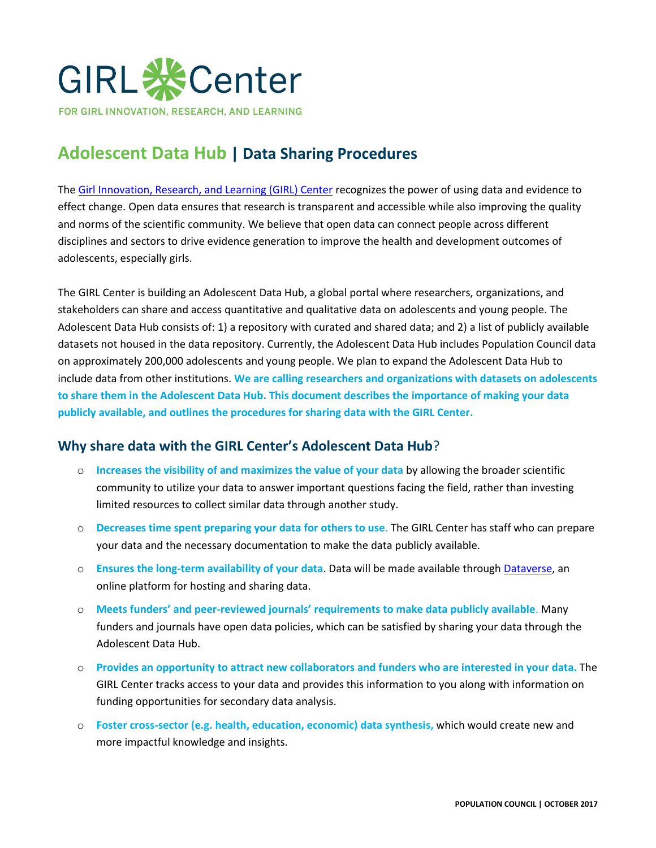

# **Adolescent Data Hub | Data Sharing Procedures**

The [Girl Innovation, Research, and Learning \(GIRL\) Center](http://www.popcouncil.org/girlcenter) recognizes the power of using data and evidence to effect change. Open data ensures that research is transparent and accessible while also improving the quality and norms of the scientific community. We believe that open data can connect people across different disciplines and sectors to drive evidence generation to improve the health and development outcomes of adolescents, especially girls.

The GIRL Center is building an Adolescent Data Hub, a global portal where researchers, organizations, and stakeholders can share and access quantitative and qualitative data on adolescents and young people. The Adolescent Data Hub consists of: 1) a repository with curated and shared data; and 2) a list of publicly available datasets not housed in the data repository. Currently, the Adolescent Data Hub includes Population Council data on approximately 200,000 adolescents and young people. We plan to expand the Adolescent Data Hub to include data from other institutions. **We are calling researchers and organizations with datasets on adolescents to share them in the Adolescent Data Hub. This document describes the importance of making your data publicly available, and outlines the procedures for sharing data with the GIRL Center.** 

# **Why share data with the GIRL Center's Adolescent Data Hub**?

- o **Increases the visibility of and maximizes the value of your data** by allowing the broader scientific community to utilize your data to answer important questions facing the field, rather than investing limited resources to collect similar data through another study.
- o **Decreases time spent preparing your data for others to use**. The GIRL Center has staff who can prepare your data and the necessary documentation to make the data publicly available.
- o **Ensures the long-term availability of your data**. Data will be made available through [Dataverse,](https://dataverse.harvard.edu/dataverse/popcouncil) an online platform for hosting and sharing data.
- o **Meets funders' and peer-reviewed journals' requirements to make data publicly available**. Many funders and journals have open data policies, which can be satisfied by sharing your data through the Adolescent Data Hub.
- o **Provides an opportunity to attract new collaborators and funders who are interested in your data.** The GIRL Center tracks access to your data and provides this information to you along with information on funding opportunities for secondary data analysis.
- o **Foster cross-sector (e.g. health, education, economic) data synthesis,** which would create new and more impactful knowledge and insights.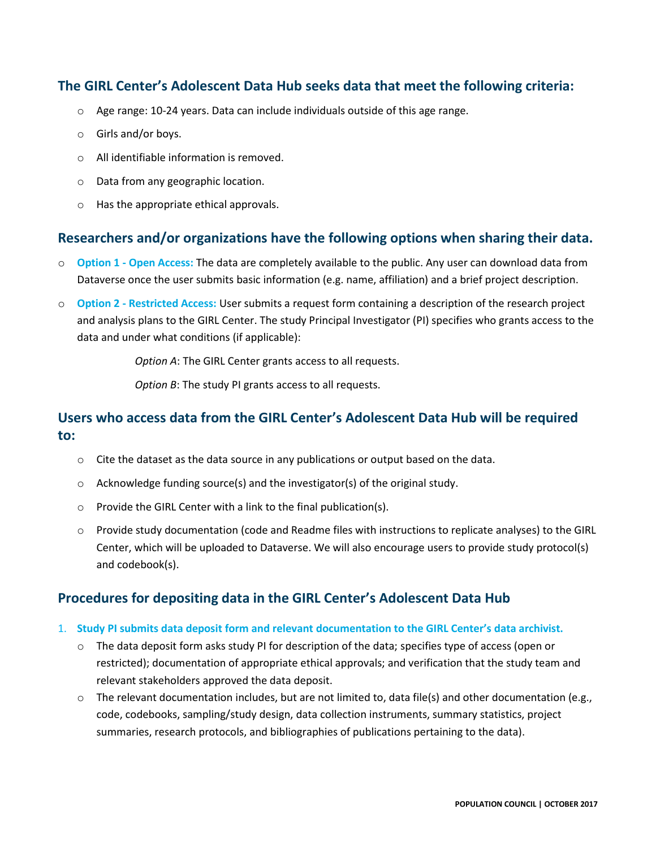# **The GIRL Center's Adolescent Data Hub seeks data that meet the following criteria:**

- $\circ$  Age range: 10-24 years. Data can include individuals outside of this age range.
- o Girls and/or boys.
- o All identifiable information is removed.
- o Data from any geographic location.
- o Has the appropriate ethical approvals.

## **Researchers and/or organizations have the following options when sharing their data.**

- o **Option 1 - Open Access:** The data are completely available to the public. Any user can download data from Dataverse once the user submits basic information (e.g. name, affiliation) and a brief project description.
- o **Option 2 - Restricted Access:** User submits a request form containing a description of the research project and analysis plans to the GIRL Center. The study Principal Investigator (PI) specifies who grants access to the data and under what conditions (if applicable):

*Option A*: The GIRL Center grants access to all requests.

*Option B*: The study PI grants access to all requests.

# **Users who access data from the GIRL Center's Adolescent Data Hub will be required to:**

- $\circ$  Cite the dataset as the data source in any publications or output based on the data.
- o Acknowledge funding source(s) and the investigator(s) of the original study.
- o Provide the GIRL Center with a link to the final publication(s).
- o Provide study documentation (code and Readme files with instructions to replicate analyses) to the GIRL Center, which will be uploaded to Dataverse. We will also encourage users to provide study protocol(s) and codebook(s).

## **Procedures for depositing data in the GIRL Center's Adolescent Data Hub**

- 1. **Study PI submits data deposit form and relevant documentation to the GIRL Center's data archivist.** 
	- $\circ$  The data deposit form asks study PI for description of the data; specifies type of access (open or restricted); documentation of appropriate ethical approvals; and verification that the study team and relevant stakeholders approved the data deposit.
	- $\circ$  The relevant documentation includes, but are not limited to, data file(s) and other documentation (e.g., code, codebooks, sampling/study design, data collection instruments, summary statistics, project summaries, research protocols, and bibliographies of publications pertaining to the data).